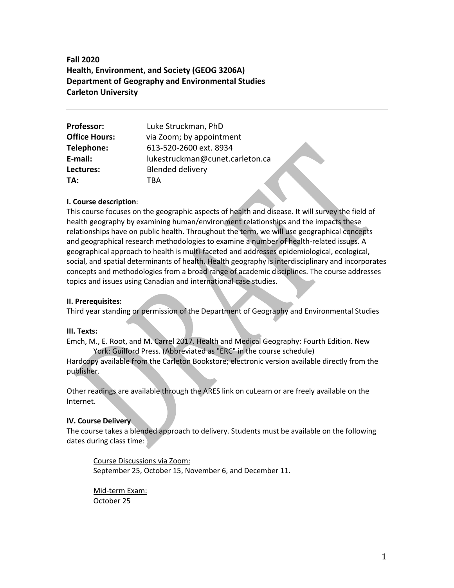**Fall 2020 Health, Environment, and Society (GEOG 3206A) Department of Geography and Environmental Studies Carleton University**

| <b>Professor:</b>    | Luke Struckman, PhD             |  |
|----------------------|---------------------------------|--|
| <b>Office Hours:</b> | via Zoom; by appointment        |  |
| Telephone:           | 613-520-2600 ext. 8934          |  |
| E-mail:              | lukestruckman@cunet.carleton.ca |  |
| Lectures:            | <b>Blended delivery</b>         |  |
| TA:                  | TRA                             |  |

### **I. Course description**:

This course focuses on the geographic aspects of health and disease. It will survey the field of health geography by examining human/environment relationships and the impacts these relationships have on public health. Throughout the term, we will use geographical concepts and geographical research methodologies to examine a number of health-related issues. A geographical approach to health is multi-faceted and addresses epidemiological, ecological, social, and spatial determinants of health. Health geography is interdisciplinary and incorporates concepts and methodologies from a broad range of academic disciplines. The course addresses topics and issues using Canadian and international case studies.

#### **II. Prerequisites:**

Third year standing or permission of the Department of Geography and Environmental Studies

#### **III. Texts:**

Emch, M., E. Root, and M. Carrel 2017. Health and Medical Geography: Fourth Edition. New York: Guilford Press. (Abbreviated as "ERC" in the course schedule)

Hardcopy available from the Carleton Bookstore; electronic version available directly from the publisher.

Other readings are available through the ARES link on cuLearn or are freely available on the Internet.

#### **IV. Course Delivery**

The course takes a blended approach to delivery. Students must be available on the following dates during class time:

Course Discussions via Zoom: September 25, October 15, November 6, and December 11.

Mid-term Exam: October 25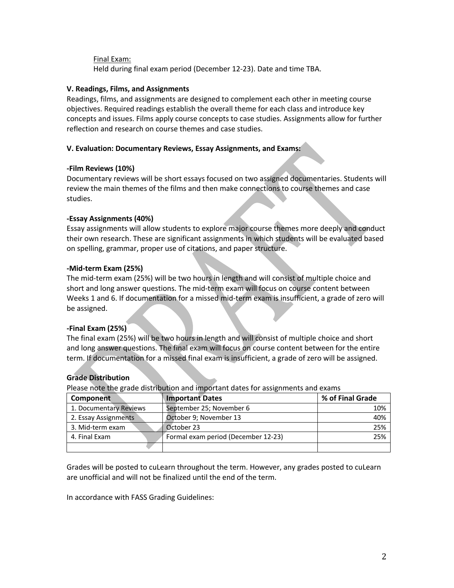Final Exam: Held during final exam period (December 12-23). Date and time TBA.

### **V. Readings, Films, and Assignments**

Readings, films, and assignments are designed to complement each other in meeting course objectives. Required readings establish the overall theme for each class and introduce key concepts and issues. Films apply course concepts to case studies. Assignments allow for further reflection and research on course themes and case studies.

### **V. Evaluation: Documentary Reviews, Essay Assignments, and Exams:**

### **-Film Reviews (10%)**

Documentary reviews will be short essays focused on two assigned documentaries. Students will review the main themes of the films and then make connections to course themes and case studies.

### **-Essay Assignments (40%)**

Essay assignments will allow students to explore major course themes more deeply and conduct their own research. These are significant assignments in which students will be evaluated based on spelling, grammar, proper use of citations, and paper structure.

### **-Mid-term Exam (25%)**

The mid-term exam (25%) will be two hours in length and will consist of multiple choice and short and long answer questions. The mid-term exam will focus on course content between Weeks 1 and 6. If documentation for a missed mid-term exam is insufficient, a grade of zero will be assigned.

### **-Final Exam (25%)**

The final exam (25%) will be two hours in length and will consist of multiple choice and short and long answer questions. The final exam will focus on course content between for the entire term. If documentation for a missed final exam is insufficient, a grade of zero will be assigned.

### **Grade Distribution**

Please note the grade distribution and important dates for assignments and exams

| Component              | <b>Important Dates</b>              | % of Final Grade |
|------------------------|-------------------------------------|------------------|
| 1. Documentary Reviews | September 25; November 6            | 10%              |
| 2. Essay Assignments   | October 9; November 13              | 40%              |
| 3. Mid-term exam       | October 23                          | 25%              |
| 4. Final Exam          | Formal exam period (December 12-23) | 25%              |
|                        |                                     |                  |

Grades will be posted to cuLearn throughout the term. However, any grades posted to cuLearn are unofficial and will not be finalized until the end of the term.

In accordance with FASS Grading Guidelines: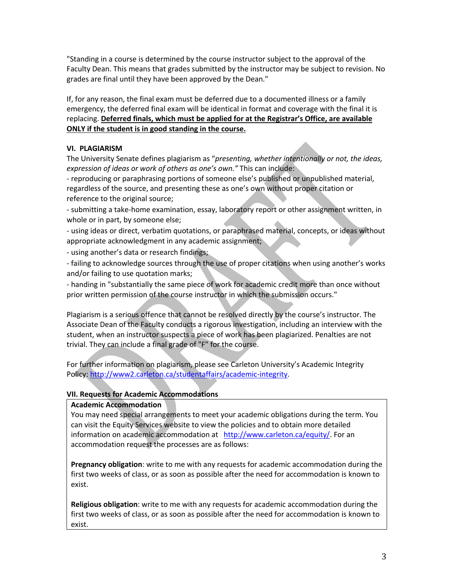"Standing in a course is determined by the course instructor subject to the approval of the Faculty Dean. This means that grades submitted by the instructor may be subject to revision. No grades are final until they have been approved by the Dean."

If, for any reason, the final exam must be deferred due to a documented illness or a family emergency, the deferred final exam will be identical in format and coverage with the final it is replacing. **Deferred finals, which must be applied for at the Registrar's Office, are available ONLY if the student is in good standing in the course.**

### **VI. PLAGIARISM**

The University Senate defines plagiarism as "*presenting, whether intentionally or not, the ideas, expression of ideas or work of others as one's own."* This can include:

- reproducing or paraphrasing portions of someone else's published or unpublished material, regardless of the source, and presenting these as one's own without proper citation or reference to the original source;

- submitting a take-home examination, essay, laboratory report or other assignment written, in whole or in part, by someone else;

- using ideas or direct, verbatim quotations, or paraphrased material, concepts, or ideas without appropriate acknowledgment in any academic assignment;

- using another's data or research findings;

- failing to acknowledge sources through the use of proper citations when using another's works and/or failing to use quotation marks;

- handing in "substantially the same piece of work for academic credit more than once without prior written permission of the course instructor in which the submission occurs."

Plagiarism is a serious offence that cannot be resolved directly by the course's instructor. The Associate Dean of the Faculty conducts a rigorous investigation, including an interview with the student, when an instructor suspects a piece of work has been plagiarized. Penalties are not trivial. They can include a final grade of "F" for the course.

For further information on plagiarism, please see Carleton University's Academic Integrity Policy: http://www2.carleton.ca/studentaffairs/academic-integrity.

### **VII. Requests for Academic Accommodations**

### **Academic Accommodation**

You may need special arrangements to meet your academic obligations during the term. You can visit the Equity Services website to view the policies and to obtain more detailed information on academic accommodation at http://www.carleton.ca/equity/. For an accommodation request the processes are as follows:

**Pregnancy obligation**: write to me with any requests for academic accommodation during the first two weeks of class, or as soon as possible after the need for accommodation is known to exist.

**Religious obligation**: write to me with any requests for academic accommodation during the first two weeks of class, or as soon as possible after the need for accommodation is known to exist.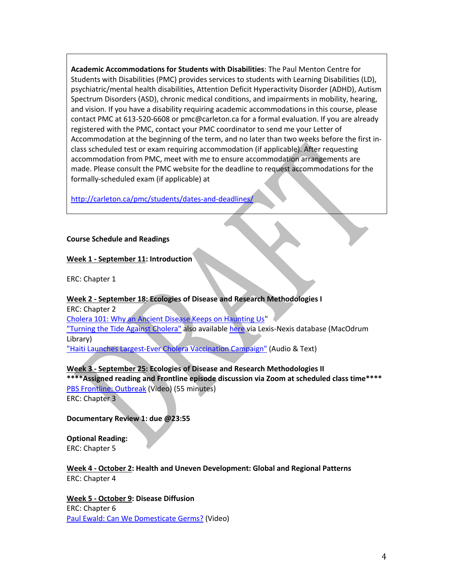**Academic Accommodations for Students with Disabilities**: The Paul Menton Centre for Students with Disabilities (PMC) provides services to students with Learning Disabilities (LD), psychiatric/mental health disabilities, Attention Deficit Hyperactivity Disorder (ADHD), Autism Spectrum Disorders (ASD), chronic medical conditions, and impairments in mobility, hearing, and vision. If you have a disability requiring academic accommodations in this course, please contact PMC at 613-520-6608 or pmc@carleton.ca for a formal evaluation. If you are already registered with the PMC, contact your PMC coordinator to send me your Letter of Accommodation at the beginning of the term, and no later than two weeks before the first inclass scheduled test or exam requiring accommodation (if applicable). After requesting accommodation from PMC, meet with me to ensure accommodation arrangements are made. Please consult the PMC website for the deadline to request accommodations for the formally-scheduled exam (if applicable) at

http://carleton.ca/pmc/students/dates-and-deadlines/

### **Course Schedule and Readings**

# **Week 1 - September 11: Introduction**

ERC: Chapter 1

### **Week 2 - September 18: Ecologies of Disease and Research Methodologies I**

ERC: Chapter 2 Cholera 101: Why an Ancient Disease Keeps on Haunting Us" "Turning the Tide Against Cholera" also available here via Lexis-Nexis database (MacOdrum Library) "Haiti Launches Largest-Ever Cholera Vaccination Campaign" (Audio & Text)

# **Week 3 - September 25: Ecologies of Disease and Research Methodologies II**

**\*\*\*\*Assigned reading and Frontline episode discussion via Zoom at scheduled class time\*\*\*\*** PBS Frontline: Outbreak (Video) (55 minutes)

ERC: Chapter 3

**Documentary Review 1: due @23:55**

**Optional Reading:** ERC: Chapter 5

### **Week 4 - October 2: Health and Uneven Development: Global and Regional Patterns** ERC: Chapter 4

**Week 5 - October 9: Disease Diffusion** ERC: Chapter 6 Paul Ewald: Can We Domesticate Germs? (Video)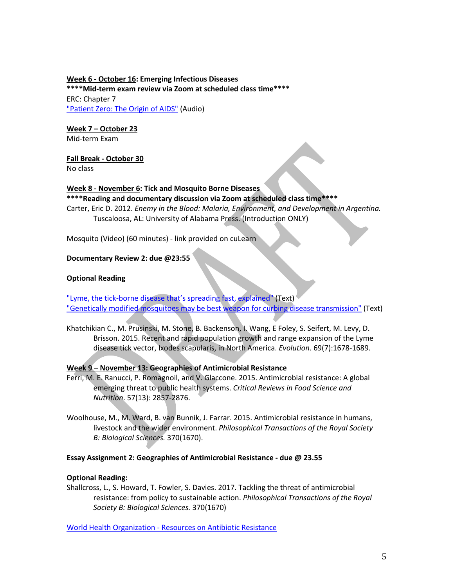### **Week 6 - October 16: Emerging Infectious Diseases \*\*\*\*Mid-term exam review via Zoom at scheduled class time\*\*\*\*** ERC: Chapter 7 "Patient Zero: The Origin of AIDS" (Audio)

### **Week 7 – October 23**

Mid-term Exam

### **Fall Break - October 30**

No class

# **Week 8 - November 6: Tick and Mosquito Borne Diseases**

# **\*\*\*\*Reading and documentary discussion via Zoom at scheduled class time\*\*\*\*** Carter, Eric D. 2012. *Enemy in the Blood: Malaria, Environment, and Development in Argentina.* Tuscaloosa, AL: University of Alabama Press. (Introduction ONLY)

Mosquito (Video) (60 minutes) - link provided on cuLearn

# **Documentary Review 2: due @23:55**

# **Optional Reading**

"Lyme, the tick-borne disease that's spreading fast, explained" (Text) "Genetically modified mosquitoes may be best weapon for curbing disease transmission" (Text)

Khatchikian C., M. Prusinski, M. Stone, B. Backenson, I. Wang, E Foley, S. Seifert, M. Levy, D. Brisson. 2015. Recent and rapid population growth and range expansion of the Lyme disease tick vector, Ixodes scapularis, in North America. *Evolution*. 69(7):1678-1689.

# **Week 9 – November 13: Geographies of Antimicrobial Resistance**

- Ferri, M. E. Ranucci, P. Romagnoil, and V. Glaccone. 2015. Antimicrobial resistance: A global emerging threat to public health systems. *Critical Reviews in Food Science and Nutrition*. 57(13): 2857-2876.
- Woolhouse, M., M. Ward, B. van Bunnik, J. Farrar. 2015. Antimicrobial resistance in humans, livestock and the wider environment. *Philosophical Transactions of the Royal Society B: Biological Sciences.* 370(1670).

### **Essay Assignment 2: Geographies of Antimicrobial Resistance - due @ 23.55**

# **Optional Reading:**

Shallcross, L., S. Howard, T. Fowler, S. Davies. 2017. Tackling the threat of antimicrobial resistance: from policy to sustainable action. *Philosophical Transactions of the Royal Society B: Biological Sciences.* 370(1670)

World Health Organization - Resources on Antibiotic Resistance